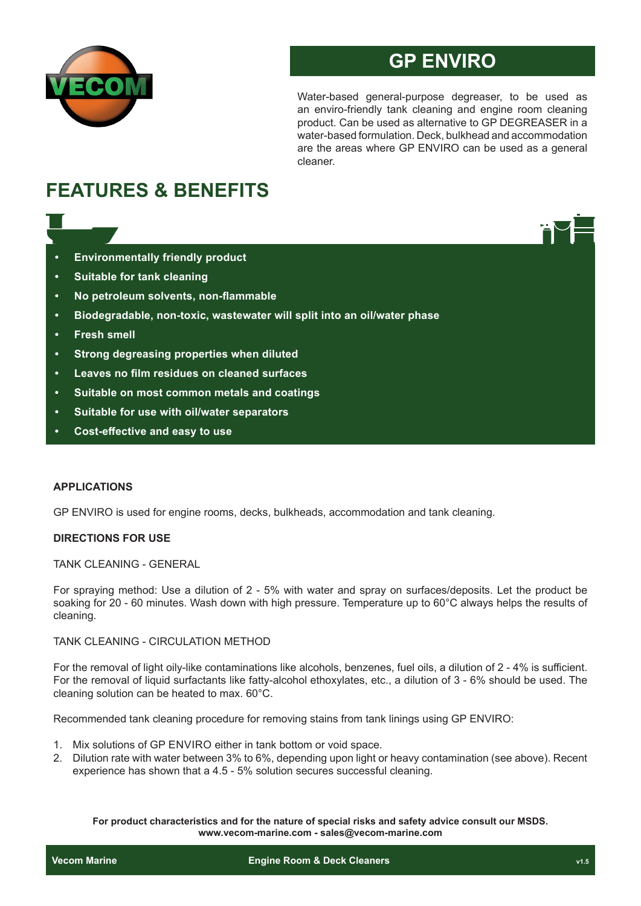

# **GP ENVIRO**

Water-based general-purpose degreaser, to be used as an enviro-friendly tank cleaning and engine room cleaning product. Can be used as alternative to GP DEGREASER in a water-based formulation. Deck, bulkhead and accommodation are the areas where GP ENVIRO can be used as a general cleaner.

# **FEATURES & BENEFITS**

- **• Environmentally friendly product**
- **• Suitable for tank cleaning**
- **• No petroleum solvents, non-flammable**
- **• Biodegradable, non-toxic, wastewater will split into an oil/water phase**
- **• Fresh smell**
- **• Strong degreasing properties when diluted**
- **• Leaves no film residues on cleaned surfaces**
- **• Suitable on most common metals and coatings**
- **• Suitable for use with oil/water separators**
- **• Cost-effective and easy to use**

## **APPLICATIONS**

GP ENVIRO is used for engine rooms, decks, bulkheads, accommodation and tank cleaning.

## **DIRECTIONS FOR USE**

TANK CLEANING - GENERAL

For spraying method: Use a dilution of 2 - 5% with water and spray on surfaces/deposits. Let the product be soaking for 20 - 60 minutes. Wash down with high pressure. Temperature up to 60°C always helps the results of cleaning.

## TANK CLEANING - CIRCULATION METHOD

For the removal of light oily-like contaminations like alcohols, benzenes, fuel oils, a dilution of 2 - 4% is sufficient. For the removal of liquid surfactants like fatty-alcohol ethoxylates, etc., a dilution of 3 - 6% should be used. The cleaning solution can be heated to max. 60°C.

Recommended tank cleaning procedure for removing stains from tank linings using GP ENVIRO:

- 1. Mix solutions of GP ENVIRO either in tank bottom or void space.
- 2. Dilution rate with water between 3% to 6%, depending upon light or heavy contamination (see above). Recent experience has shown that a 4.5 - 5% solution secures successful cleaning.

**For product characteristics and for the nature of special risks and safety advice consult our MSDS. www.vecom-marine.com - sales@vecom-marine.com**